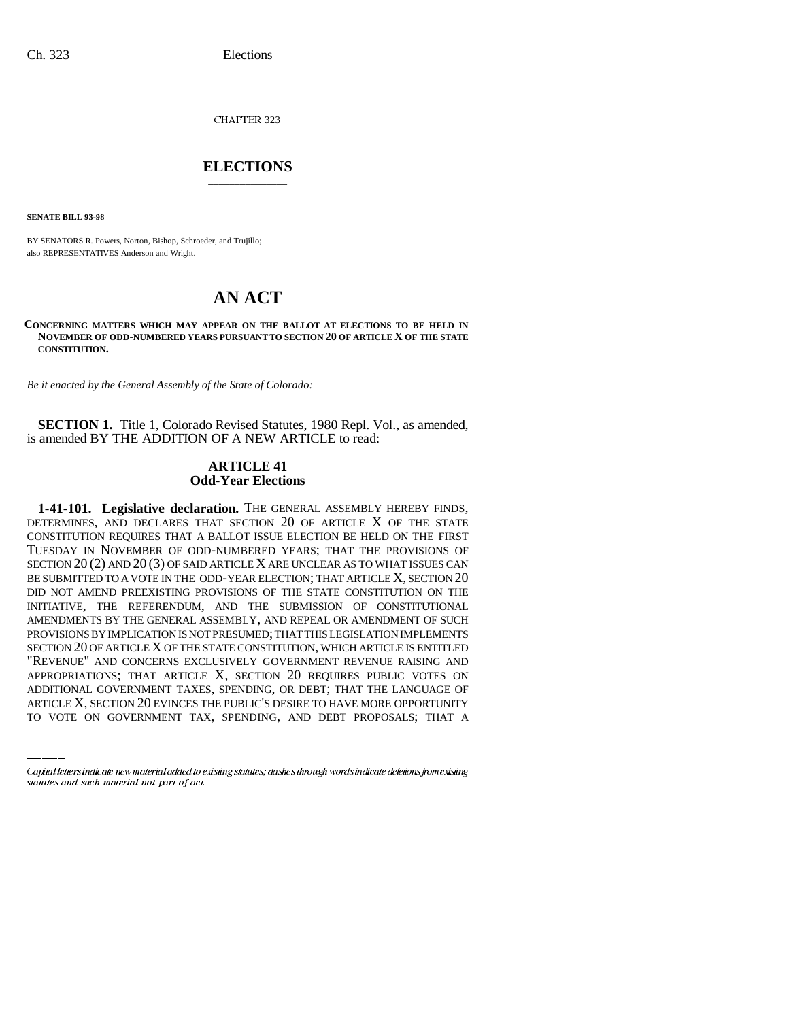CHAPTER 323

# \_\_\_\_\_\_\_\_\_\_\_\_\_\_\_ **ELECTIONS** \_\_\_\_\_\_\_\_\_\_\_\_\_\_\_

**SENATE BILL 93-98**

BY SENATORS R. Powers, Norton, Bishop, Schroeder, and Trujillo; also REPRESENTATIVES Anderson and Wright.

# **AN ACT**

### **CONCERNING MATTERS WHICH MAY APPEAR ON THE BALLOT AT ELECTIONS TO BE HELD IN NOVEMBER OF ODD-NUMBERED YEARS PURSUANT TO SECTION 20 OF ARTICLE X OF THE STATE CONSTITUTION.**

*Be it enacted by the General Assembly of the State of Colorado:*

**SECTION 1.** Title 1, Colorado Revised Statutes, 1980 Repl. Vol., as amended, is amended BY THE ADDITION OF A NEW ARTICLE to read:

# **ARTICLE 41 Odd-Year Elections**

"REVENUE" AND CONCERNS EXCLUSIVELY GOVERNMENT REVENUE RAISING AND 1-41-101. Legislative declaration. THE GENERAL ASSEMBLY HEREBY FINDS, DETERMINES, AND DECLARES THAT SECTION 20 OF ARTICLE X OF THE STATE CONSTITUTION REQUIRES THAT A BALLOT ISSUE ELECTION BE HELD ON THE FIRST TUESDAY IN NOVEMBER OF ODD-NUMBERED YEARS; THAT THE PROVISIONS OF SECTION 20 (2) AND 20 (3) OF SAID ARTICLE X ARE UNCLEAR AS TO WHAT ISSUES CAN BE SUBMITTED TO A VOTE IN THE ODD-YEAR ELECTION; THAT ARTICLE X, SECTION 20 DID NOT AMEND PREEXISTING PROVISIONS OF THE STATE CONSTITUTION ON THE INITIATIVE, THE REFERENDUM, AND THE SUBMISSION OF CONSTITUTIONAL AMENDMENTS BY THE GENERAL ASSEMBLY, AND REPEAL OR AMENDMENT OF SUCH PROVISIONS BY IMPLICATION IS NOT PRESUMED; THAT THIS LEGISLATION IMPLEMENTS SECTION 20 OF ARTICLE X OF THE STATE CONSTITUTION, WHICH ARTICLE IS ENTITLED APPROPRIATIONS; THAT ARTICLE X, SECTION 20 REQUIRES PUBLIC VOTES ON ADDITIONAL GOVERNMENT TAXES, SPENDING, OR DEBT; THAT THE LANGUAGE OF ARTICLE X, SECTION 20 EVINCES THE PUBLIC'S DESIRE TO HAVE MORE OPPORTUNITY TO VOTE ON GOVERNMENT TAX, SPENDING, AND DEBT PROPOSALS; THAT A

Capital letters indicate new material added to existing statutes; dashes through words indicate deletions from existing statutes and such material not part of act.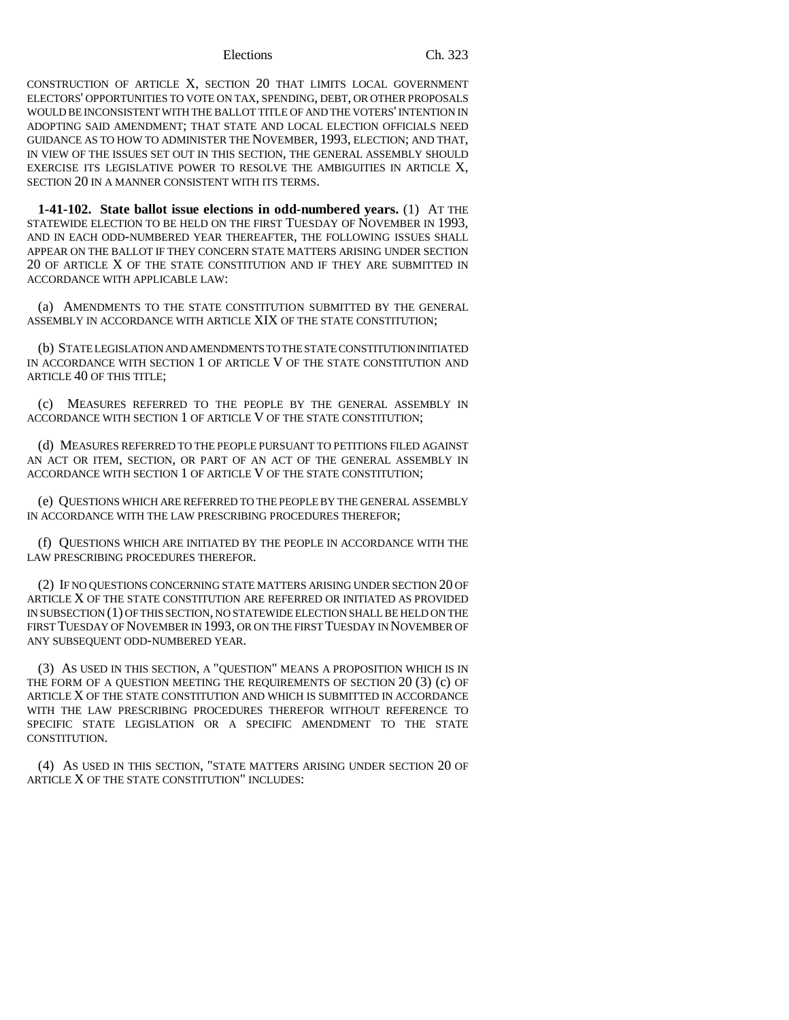### Elections Ch. 323

CONSTRUCTION OF ARTICLE X, SECTION 20 THAT LIMITS LOCAL GOVERNMENT ELECTORS' OPPORTUNITIES TO VOTE ON TAX, SPENDING, DEBT, OR OTHER PROPOSALS WOULD BE INCONSISTENT WITH THE BALLOT TITLE OF AND THE VOTERS' INTENTION IN ADOPTING SAID AMENDMENT; THAT STATE AND LOCAL ELECTION OFFICIALS NEED GUIDANCE AS TO HOW TO ADMINISTER THE NOVEMBER, 1993, ELECTION; AND THAT, IN VIEW OF THE ISSUES SET OUT IN THIS SECTION, THE GENERAL ASSEMBLY SHOULD EXERCISE ITS LEGISLATIVE POWER TO RESOLVE THE AMBIGUITIES IN ARTICLE X, SECTION 20 IN A MANNER CONSISTENT WITH ITS TERMS.

**1-41-102. State ballot issue elections in odd-numbered years.** (1) AT THE STATEWIDE ELECTION TO BE HELD ON THE FIRST TUESDAY OF NOVEMBER IN 1993, AND IN EACH ODD-NUMBERED YEAR THEREAFTER, THE FOLLOWING ISSUES SHALL APPEAR ON THE BALLOT IF THEY CONCERN STATE MATTERS ARISING UNDER SECTION 20 OF ARTICLE X OF THE STATE CONSTITUTION AND IF THEY ARE SUBMITTED IN ACCORDANCE WITH APPLICABLE LAW:

(a) AMENDMENTS TO THE STATE CONSTITUTION SUBMITTED BY THE GENERAL ASSEMBLY IN ACCORDANCE WITH ARTICLE XIX OF THE STATE CONSTITUTION;

(b) STATE LEGISLATION AND AMENDMENTS TO THE STATE CONSTITUTION INITIATED IN ACCORDANCE WITH SECTION 1 OF ARTICLE V OF THE STATE CONSTITUTION AND ARTICLE 40 OF THIS TITLE;

(c) MEASURES REFERRED TO THE PEOPLE BY THE GENERAL ASSEMBLY IN ACCORDANCE WITH SECTION 1 OF ARTICLE V OF THE STATE CONSTITUTION;

(d) MEASURES REFERRED TO THE PEOPLE PURSUANT TO PETITIONS FILED AGAINST AN ACT OR ITEM, SECTION, OR PART OF AN ACT OF THE GENERAL ASSEMBLY IN ACCORDANCE WITH SECTION 1 OF ARTICLE V OF THE STATE CONSTITUTION;

(e) QUESTIONS WHICH ARE REFERRED TO THE PEOPLE BY THE GENERAL ASSEMBLY IN ACCORDANCE WITH THE LAW PRESCRIBING PROCEDURES THEREFOR;

(f) QUESTIONS WHICH ARE INITIATED BY THE PEOPLE IN ACCORDANCE WITH THE LAW PRESCRIBING PROCEDURES THEREFOR.

(2) IF NO QUESTIONS CONCERNING STATE MATTERS ARISING UNDER SECTION 20 OF ARTICLE X OF THE STATE CONSTITUTION ARE REFERRED OR INITIATED AS PROVIDED IN SUBSECTION (1) OF THIS SECTION, NO STATEWIDE ELECTION SHALL BE HELD ON THE FIRST TUESDAY OF NOVEMBER IN 1993, OR ON THE FIRST TUESDAY IN NOVEMBER OF ANY SUBSEQUENT ODD-NUMBERED YEAR.

(3) AS USED IN THIS SECTION, A "QUESTION" MEANS A PROPOSITION WHICH IS IN THE FORM OF A QUESTION MEETING THE REQUIREMENTS OF SECTION 20 (3) (c) OF ARTICLE X OF THE STATE CONSTITUTION AND WHICH IS SUBMITTED IN ACCORDANCE WITH THE LAW PRESCRIBING PROCEDURES THEREFOR WITHOUT REFERENCE TO SPECIFIC STATE LEGISLATION OR A SPECIFIC AMENDMENT TO THE STATE CONSTITUTION.

(4) AS USED IN THIS SECTION, "STATE MATTERS ARISING UNDER SECTION 20 OF ARTICLE X OF THE STATE CONSTITUTION" INCLUDES: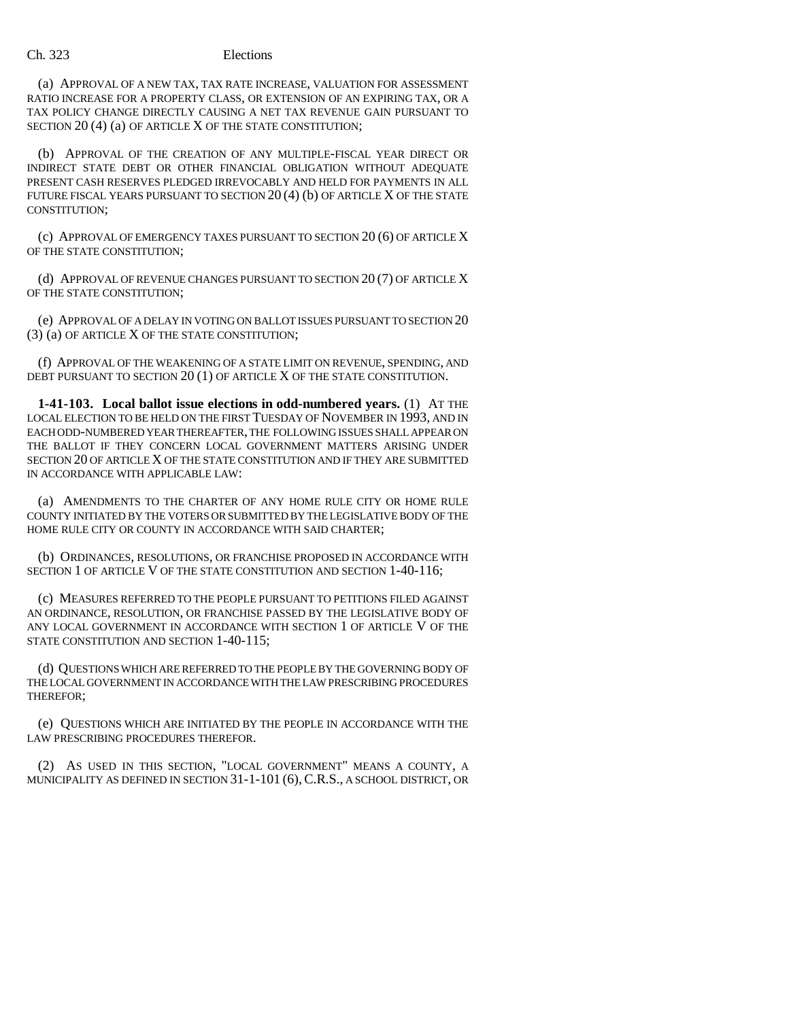## Ch. 323 Elections

(a) APPROVAL OF A NEW TAX, TAX RATE INCREASE, VALUATION FOR ASSESSMENT RATIO INCREASE FOR A PROPERTY CLASS, OR EXTENSION OF AN EXPIRING TAX, OR A TAX POLICY CHANGE DIRECTLY CAUSING A NET TAX REVENUE GAIN PURSUANT TO SECTION 20 (4) (a) OF ARTICLE X OF THE STATE CONSTITUTION;

(b) APPROVAL OF THE CREATION OF ANY MULTIPLE-FISCAL YEAR DIRECT OR INDIRECT STATE DEBT OR OTHER FINANCIAL OBLIGATION WITHOUT ADEQUATE PRESENT CASH RESERVES PLEDGED IRREVOCABLY AND HELD FOR PAYMENTS IN ALL FUTURE FISCAL YEARS PURSUANT TO SECTION  $20(4)$  (b) OF ARTICLE X OF THE STATE CONSTITUTION;

(c) APPROVAL OF EMERGENCY TAXES PURSUANT TO SECTION 20 (6) OF ARTICLE X OF THE STATE CONSTITUTION;

(d) APPROVAL OF REVENUE CHANGES PURSUANT TO SECTION 20 (7) OF ARTICLE X OF THE STATE CONSTITUTION;

(e) APPROVAL OF A DELAY IN VOTING ON BALLOT ISSUES PURSUANT TO SECTION 20 (3) (a) OF ARTICLE X OF THE STATE CONSTITUTION;

(f) APPROVAL OF THE WEAKENING OF A STATE LIMIT ON REVENUE, SPENDING, AND DEBT PURSUANT TO SECTION 20 (1) OF ARTICLE X OF THE STATE CONSTITUTION.

**1-41-103. Local ballot issue elections in odd-numbered years.** (1) AT THE LOCAL ELECTION TO BE HELD ON THE FIRST TUESDAY OF NOVEMBER IN 1993, AND IN EACH ODD-NUMBERED YEAR THEREAFTER, THE FOLLOWING ISSUES SHALL APPEAR ON THE BALLOT IF THEY CONCERN LOCAL GOVERNMENT MATTERS ARISING UNDER SECTION 20 OF ARTICLE X OF THE STATE CONSTITUTION AND IF THEY ARE SUBMITTED IN ACCORDANCE WITH APPLICABLE LAW:

(a) AMENDMENTS TO THE CHARTER OF ANY HOME RULE CITY OR HOME RULE COUNTY INITIATED BY THE VOTERS OR SUBMITTED BY THE LEGISLATIVE BODY OF THE HOME RULE CITY OR COUNTY IN ACCORDANCE WITH SAID CHARTER;

(b) ORDINANCES, RESOLUTIONS, OR FRANCHISE PROPOSED IN ACCORDANCE WITH SECTION 1 OF ARTICLE V OF THE STATE CONSTITUTION AND SECTION 1-40-116;

(c) MEASURES REFERRED TO THE PEOPLE PURSUANT TO PETITIONS FILED AGAINST AN ORDINANCE, RESOLUTION, OR FRANCHISE PASSED BY THE LEGISLATIVE BODY OF ANY LOCAL GOVERNMENT IN ACCORDANCE WITH SECTION 1 OF ARTICLE V OF THE STATE CONSTITUTION AND SECTION 1-40-115;

(d) QUESTIONS WHICH ARE REFERRED TO THE PEOPLE BY THE GOVERNING BODY OF THE LOCAL GOVERNMENT IN ACCORDANCE WITH THE LAW PRESCRIBING PROCEDURES THEREFOR;

(e) QUESTIONS WHICH ARE INITIATED BY THE PEOPLE IN ACCORDANCE WITH THE LAW PRESCRIBING PROCEDURES THEREFOR.

(2) AS USED IN THIS SECTION, "LOCAL GOVERNMENT" MEANS A COUNTY, A MUNICIPALITY AS DEFINED IN SECTION 31-1-101 (6),C.R.S., A SCHOOL DISTRICT, OR